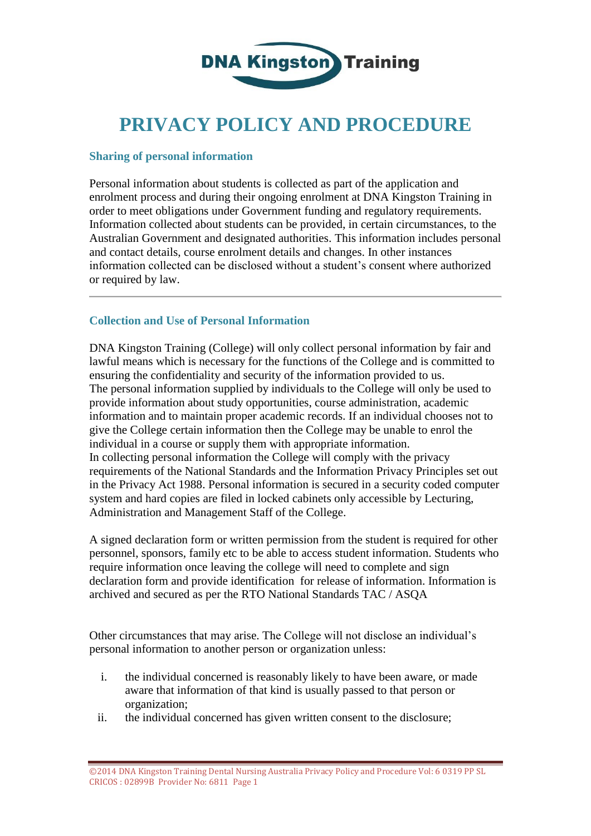

# **PRIVACY POLICY AND PROCEDURE**

#### **Sharing of personal information**

Personal information about students is collected as part of the application and enrolment process and during their ongoing enrolment at DNA Kingston Training in order to meet obligations under Government funding and regulatory requirements. Information collected about students can be provided, in certain circumstances, to the Australian Government and designated authorities. This information includes personal and contact details, course enrolment details and changes. In other instances information collected can be disclosed without a student's consent where authorized or required by law.

## **Collection and Use of Personal Information**

DNA Kingston Training (College) will only collect personal information by fair and lawful means which is necessary for the functions of the College and is committed to ensuring the confidentiality and security of the information provided to us. The personal information supplied by individuals to the College will only be used to provide information about study opportunities, course administration, academic information and to maintain proper academic records. If an individual chooses not to give the College certain information then the College may be unable to enrol the individual in a course or supply them with appropriate information. In collecting personal information the College will comply with the privacy requirements of the National Standards and the Information Privacy Principles set out in the Privacy Act 1988. Personal information is secured in a security coded computer system and hard copies are filed in locked cabinets only accessible by Lecturing, Administration and Management Staff of the College.

A signed declaration form or written permission from the student is required for other personnel, sponsors, family etc to be able to access student information. Students who require information once leaving the college will need to complete and sign declaration form and provide identification for release of information. Information is archived and secured as per the RTO National Standards TAC / ASQA

Other circumstances that may arise. The College will not disclose an individual's personal information to another person or organization unless:

- i. the individual concerned is reasonably likely to have been aware, or made aware that information of that kind is usually passed to that person or organization;
- ii. the individual concerned has given written consent to the disclosure;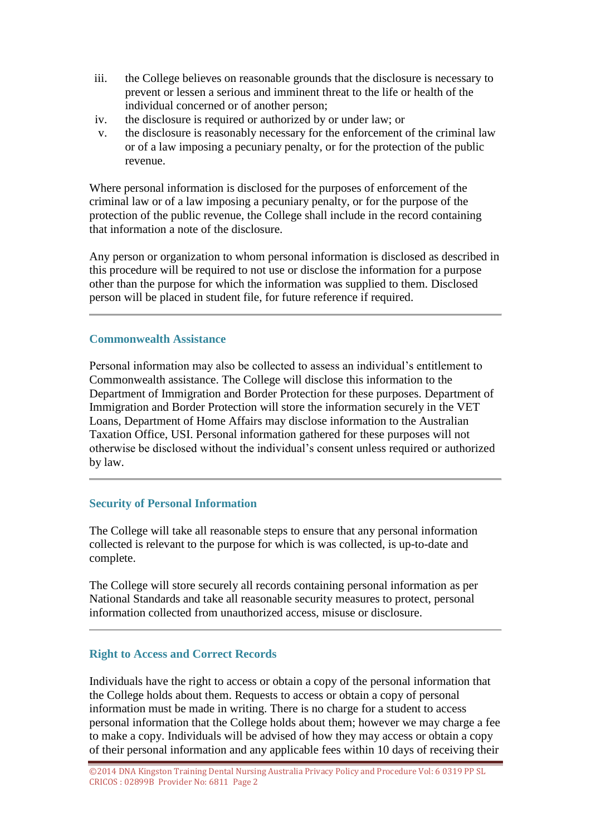- iii. the College believes on reasonable grounds that the disclosure is necessary to prevent or lessen a serious and imminent threat to the life or health of the individual concerned or of another person;
- iv. the disclosure is required or authorized by or under law; or
- v. the disclosure is reasonably necessary for the enforcement of the criminal law or of a law imposing a pecuniary penalty, or for the protection of the public revenue.

Where personal information is disclosed for the purposes of enforcement of the criminal law or of a law imposing a pecuniary penalty, or for the purpose of the protection of the public revenue, the College shall include in the record containing that information a note of the disclosure.

Any person or organization to whom personal information is disclosed as described in this procedure will be required to not use or disclose the information for a purpose other than the purpose for which the information was supplied to them. Disclosed person will be placed in student file, for future reference if required.

## **Commonwealth Assistance**

Personal information may also be collected to assess an individual's entitlement to Commonwealth assistance. The College will disclose this information to the Department of Immigration and Border Protection for these purposes. Department of Immigration and Border Protection will store the information securely in the VET Loans, Department of Home Affairs may disclose information to the Australian Taxation Office, USI. Personal information gathered for these purposes will not otherwise be disclosed without the individual's consent unless required or authorized by law.

## **Security of Personal Information**

The College will take all reasonable steps to ensure that any personal information collected is relevant to the purpose for which is was collected, is up-to-date and complete.

The College will store securely all records containing personal information as per National Standards and take all reasonable security measures to protect, personal information collected from unauthorized access, misuse or disclosure.

# **Right to Access and Correct Records**

Individuals have the right to access or obtain a copy of the personal information that the College holds about them. Requests to access or obtain a copy of personal information must be made in writing. There is no charge for a student to access personal information that the College holds about them; however we may charge a fee to make a copy. Individuals will be advised of how they may access or obtain a copy of their personal information and any applicable fees within 10 days of receiving their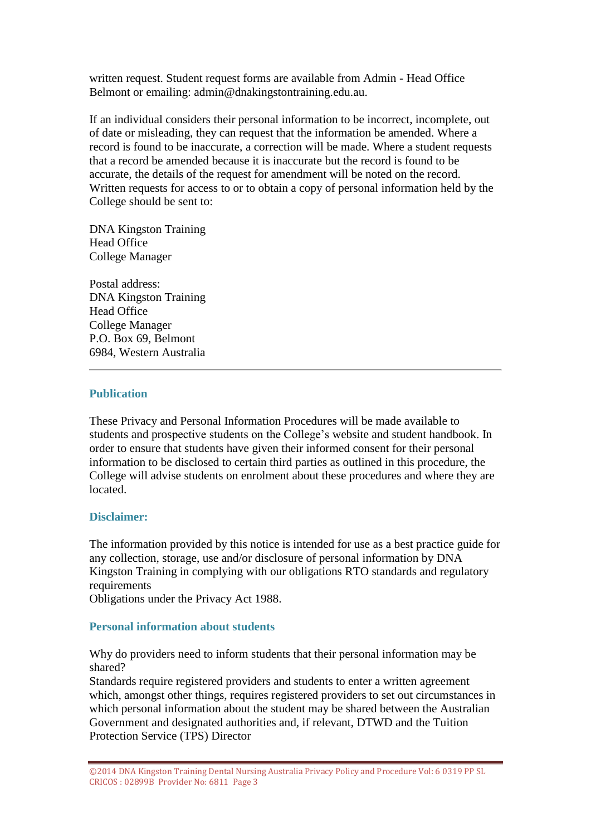written request. Student request forms are available from Admin - Head Office Belmont or emailing: admin@dnakingstontraining.edu.au.

If an individual considers their personal information to be incorrect, incomplete, out of date or misleading, they can request that the information be amended. Where a record is found to be inaccurate, a correction will be made. Where a student requests that a record be amended because it is inaccurate but the record is found to be accurate, the details of the request for amendment will be noted on the record. Written requests for access to or to obtain a copy of personal information held by the College should be sent to:

DNA Kingston Training Head Office College Manager

Postal address: DNA Kingston Training Head Office College Manager P.O. Box 69, Belmont 6984, Western Australia

## **Publication**

These Privacy and Personal Information Procedures will be made available to students and prospective students on the College's website and student handbook. In order to ensure that students have given their informed consent for their personal information to be disclosed to certain third parties as outlined in this procedure, the College will advise students on enrolment about these procedures and where they are located.

# **Disclaimer:**

The information provided by this notice is intended for use as a best practice guide for any collection, storage, use and/or disclosure of personal information by DNA Kingston Training in complying with our obligations RTO standards and regulatory requirements

Obligations under the Privacy Act 1988.

## **Personal information about students**

Why do providers need to inform students that their personal information may be shared?

Standards require registered providers and students to enter a written agreement which, amongst other things, requires registered providers to set out circumstances in which personal information about the student may be shared between the Australian Government and designated authorities and, if relevant, DTWD and the Tuition Protection Service (TPS) Director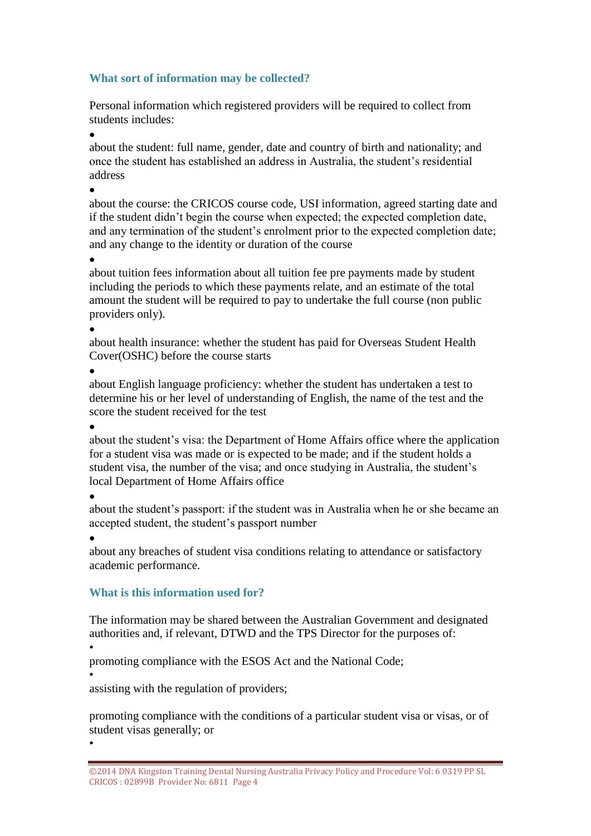# **What sort of information may be collected?**

Personal information which registered providers will be required to collect from students includes:

 $\bullet$ 

about the student: full name, gender, date and country of birth and nationality; and once the student has established an address in Australia, the student's residential address

 $\bullet$ 

about the course: the CRICOS course code, USI information, agreed starting date and if the student didn't begin the course when expected; the expected completion date, and any termination of the student's enrolment prior to the expected completion date; and any change to the identity or duration of the course

 $\bullet$ 

about tuition fees information about all tuition fee pre payments made by student including the periods to which these payments relate, and an estimate of the total amount the student will be required to pay to undertake the full course (non public providers only).

 $\bullet$ 

about health insurance: whether the student has paid for Overseas Student Health Cover(OSHC) before the course starts

 $\bullet$ 

about English language proficiency: whether the student has undertaken a test to determine his or her level of understanding of English, the name of the test and the score the student received for the test

 $\bullet$ 

about the student's visa: the Department of Home Affairs office where the application for a student visa was made or is expected to be made; and if the student holds a student visa, the number of the visa; and once studying in Australia, the student's local Department of Home Affairs office

 $\bullet$ 

about the student's passport: if the student was in Australia when he or she became an accepted student, the student's passport number

 $\bullet$ 

about any breaches of student visa conditions relating to attendance or satisfactory academic performance.

# **What is this information used for?**

The information may be shared between the Australian Government and designated authorities and, if relevant, DTWD and the TPS Director for the purposes of:

•

•

promoting compliance with the ESOS Act and the National Code;

• assisting with the regulation of providers;

promoting compliance with the conditions of a particular student visa or visas, or of student visas generally; or

<sup>©2014</sup> DNA Kingston Training Dental Nursing Australia Privacy Policy and Procedure Vol: 6 0319 PP SL CRICOS : 02899B Provider No: 6811 Page 4